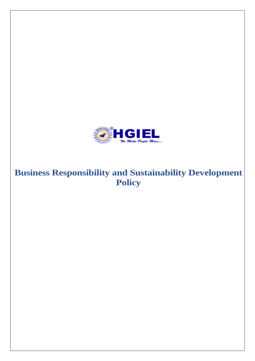

# **Business Responsibility and Sustainability Development Policy**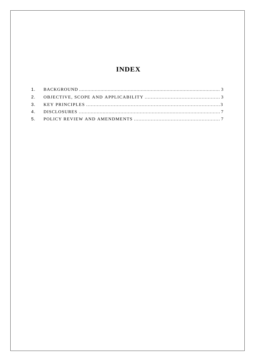## **INDEX**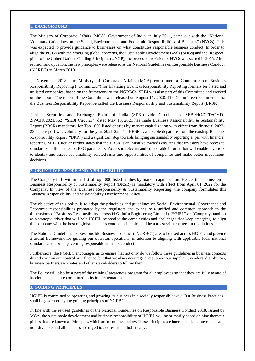#### **1. BACKGROUND**

The Ministry of Corporate Affairs (MCA), Government of India, in July 2011, came out with the "National Voluntary Guidelines on the Social, Environmental and Economic Responsibilities of Business" (NVGs). This was expected to provide guidance to businesses on what constitutes responsible business conduct. In order to align the NVGs with the emerging global concerns, the Sustainable Development Goals (SDGs) and the 'Respect' pillar of the United Nations Guiding Principles (UNGP), the process of revision of NVGs was started in 2015. After revision and updation, the new principles were released asthe National Guidelines on Responsible Business Conduct (NGRBC) in March 2019.

In November 2018, the Ministry of Corporate Affairs (MCA) constituted a Committee on Business Responsibility Reporting ("Committee") for finalizing Business Responsibility Reporting formats for listed and unlisted companies, based on the framework of the NGRBCs. SEBI was also part of this Committee and worked on the report. The report of the Committee was released on August 11, 2020. The Committee recommends that the Business Responsibility Report be called the Business Responsibility and Sustainability Report (BRSR).

Further Securities and Exchange Board of India (SEBI) vide Circular no. SEBI/HO/CFD/CMD-2/P/CIR/2021/562 ("SEBI Circular") dated May 10, 2021 has made Business Responsibility & Sustainability Report (BRSR) mandatory for Top 1000 listed entities by market capitalization with effect from financial 2022- 23. The report was voluntary for the year 2021-22. The BRSR is a notable departure from the existing Business Responsibility Report ("BRR") and a significant step towards bringing sustainability reporting at par with financial reporting. SEBI Circular further states that the BRSR is an initiative towards ensuring that investors have access to standardized disclosures on ESG parameters. Access to relevant and comparable information will enable investors to identify and assess sustainability-related risks and opportunities of companies and make better investment decisions.

#### **2. OBJECTIVE, SCOPE AND APPLICABILITY**

The Company falls within the list of top 1000 listed entities by market capitalization. Hence, the submission of Business Responsibility & Sustainability Report (BRSR) is mandatory with effect from April 01, 2022 for the Company. In view of the Business Responsibility & Sustainability Reporting, the company formulates this Business Responsibility and Sustainability Development Policy.

The objective of this policy is to adopt the principles and guidelines on Social, Environmental, Governance and Economic responsibilities promoted by the regulators and to ensure a unified and common approach to the dimensions of Business Responsibility across H.G. Infra Engineering Limited ("HGIEL" or "Company")and act as a strategic driver that will help HGIEL respond to the complexities and challenges that keep emerging, to align the company with the best of global business conduct principles and be abreast with changes in regulations.

The National Guidelines for Responsible Business Conduct ("NGRBC") are to be used across HGIEL and provide a useful framework for guiding our overseas operations, in addition to aligning with applicable local national standards and norms governing responsible business conduct.

Furthermore, the NGRBC encourages us to ensure that not only do we follow these guidelines in business contexts directly within our control or influence, but that we also encourage and support our suppliers, vendors, distributors, business partners/associates and other stakeholders to follow them.

The Policy will also be a part of the training/ awareness program for all employees so that they are fully aware of its elements, and are committed to its implementation.

#### **3. GUIDING PRINCIPLES**

HGIEL is committed to operating and growing its business in a socially responsible way. Our Business Practices shall be governed by the guiding principles of NGRBC.

In line with the revised guidelines of the National Guidelines on Responsible Business Conduct 2018, issued by MCA, the sustainable development and business responsibility of HGIEL will be primarily based on nine thematic pillars that are known as Principles, which are mentioned below. These principles are interdependent, interrelated and non-divisible and all business are urged to address them holistically.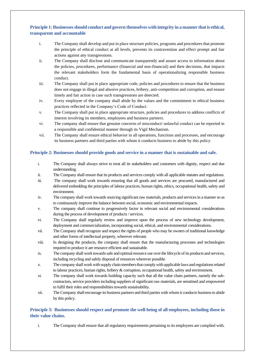## **Principle 1: Businesses should conduct and govern themselves with integrity in a manner that is ethical, transparent and accountable**

- i. The Company shall develop and put in place structure policies, programs and procedures that promote the principle of ethical conduct at all levels, prevents its contravention and effect prompt and fair actions against any transgressions.
- ii. The Company shall disclose and communicate transparently and assure access to information about the policies, procedures, performance (financial and non-financial) and their decisions, that impacts the relevant stakeholders form the fundamental basis of operationalizing responsible business conduct.
- iii. The Company shall put in place appropriate code, policies and procedures to ensure that the business does not engage in illegal and abusive practices, bribery, anti-competition and corruption, and ensure timely and fair action in case such transgressions are detected.
- iv. Every employee of the company shall abide by the values and the commitment to ethical business practices reflected in the Company's Code of Conduct.
- v. The Company shall put in place appropriate structure, policies and procedures to address conflicts of interest involving its members, employees and business partners.
- vi. The company shall ensure that genuine concerns of misconduct/ unlawful conduct can be reported in a responsible and confidential manner through its Vigil Mechanism.
- vii. The Company shall ensure ethical behavior in all operations, functions and processes, and encourage its business partners and third parties with whom it conducts business to abide by this policy.

## **Principle 2: Businesses should provide goods and service in a manner that is sustainable and safe.**

- i. The Company shall always strive to treat all its stakeholders and customers with dignity, respect and due understanding.
- ii. The Company shall ensure that its products and services comply with all applicable statutes and regulations.
- iii. The company shall work towards ensuring that all goods and services are procured, manufactured and delivered embedding the principles of labour practices, human rights, ethics, occupational health, safety and environment.
- iv. The company shall work towards sourcing significant raw materials, products and services in a manner so as to continuously improve the balance between social, economic and environmental impacts.
- v. The company shall continue to progressively factor in relevant social and environmental considerations during the process of development of products / services.
- vi. The Company shall regularly review and improve upon the process of new technology development, deployment and commercialization, incorporating social, ethical, and environmental considerations.
- vii. The Company shall recognize and respect the rights of people who may be owners of traditional knowledge and other forms of intellectual property, wherever relevant.
- viii. In designing the products, the company shall ensure that the manufacturing processes and technologies required to produce it are resource efficient and sustainable.
- ix. The company shall work towards safe and optimal resource use over the lifecycle of its products and services, including recycling and safely disposal of resources wherever possible.
- x. The company shall work with supply chain members that comply with applicable laws and regulations related to labour practices, human rights, bribery & corruption, occupational health, safety and environment.
- xi. The company shall work towards building capacity such that all the value chain partners, namely the subcontractors, service providers including suppliers of significant raw materials, are sensitised and empowered to fulfil their roles and responsibilities towards sustainability.
- xii. The Company shall encourage its business partners and third parties with whom it conducts business to abide by this policy.

## **Principle 3: Businesses should respect and promote the well-being of all employees, including those in their value chains.**

i. The Company shall ensure that all regulatory requirements pertaining to its employees are complied with.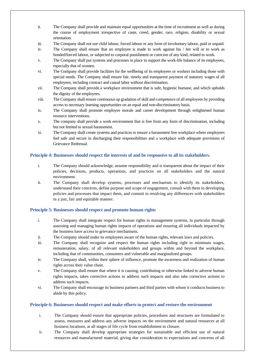- ii. The Company shall provide and maintain equal opportunities at the time of recruitment as well as during the course of employment irrespective of caste, creed, gender, race, religion, disability or sexual orientation.
- iii. The Company shall not use child labour, forced labour or any form of involuntary labour, paid or unpaid.
- iv. The Company shall ensure that no employee is made to work against his / her will or to work as bonded/forced labour, or subjected to corporal punishment or coercion of any kind, related to work.
- v. The Company shall put systems and processes in place to support the work-life balance of its employees, especially that of women.
- vi. The Company shall provide facilities for the wellbeing of its employees or workers including those with special needs. The Company shall ensure fair, timely and transparent payment of statutory wages of all employees, including contract and casual labor without discrimination.
- vii. The Company shall provide a workplace environment that is safe, hygienic humane, and which upholds the dignity of the employees.
- viii. The Company shall ensure continuous up gradation of skill and competence of all employees by providing access to necessary learning opportunities on an equal and non-discriminatory basis.
- ix. The Company shall promote employee morale and career development through enlightened human resource interventions.
- x. The company shall provide a work environment that is free from any form of discrimination, including but not limited to sexual harassment.
- xi. The Company shall create systems and practices to ensure a harassment free workplace where employees feel safe and secure in discharging their responsibilities and a workplace with adequate provisions of Grievance Redressal.

## **Principle 4: Businesses should respect the interests of and be responsive to all its stakeholders.**

- i. The Company should acknowledge, assume responsibility and is transparent about the impact of their policies, decisions, products, operations, and practices on all stakeholders and the natural environment.
- ii. The Company shall develop systems, processes and mechanism to identify its stakeholders, understand their concerns, define purpose and scope of engagement, consult with them in developing policies and processes that impact them, and commit to resolving any differences with stakeholders in a just, fair and equitable manner.

#### **Principle 5: Businesses should respect and promote human rights**

- i. The Company shall integrate respect for human rights in management systems, in particular through assessing and managing human rights impacts of operations and ensuring all individuals impacted by the business have access to grievance mechanisms.
- ii. The Company should make its employees aware of the human rights, relevant laws and policies.
- iii. The Company shall recognize and respect the human rights including right to minimum wages, remuneration, salary, of all relevant stakeholders and groups within and beyond the workplace, including that of communities, consumers and vulnerable and marginalized groups.
- iv. The Company shall, within their sphere of influence, promote the awareness and realization of human rights across their value chain.
- v. The Company shall ensure that where it is causing, contributing or otherwise linked to adverse human rights impacts, takes corrective actions to address such impacts and also take corrective actions to address such impacts.
- vi. The Company shall encourage its business partners and third parties with whom it conducts business to abide by this policy.

#### **Principle 6: Businesses should respect and make efforts to protect and restore the environment**

- i. The Company should ensure that appropriate policies, procedures and structures are formulated to assess, measures and address any adverse impacts on the environment and natural resources at all business locations, at all stages of life cycle from establishment to closure.
- ii. The Company shall develop appropriate strategies for sustainable and efficient use of natural resources and manufactured material, giving due consideration to expectations and concerns of all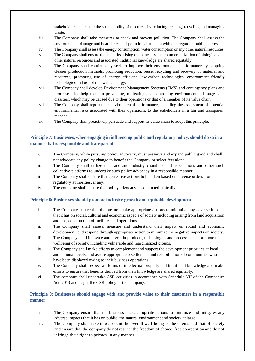stakeholders and ensure the sustainability of resources by reducing, reusing, recycling and managing waste.

- iii. The Company shall take measures to check and prevent pollution. The Company shall assess the environmental damage and bear the cost of pollution abatement with due regard to public interest.
- iv. The Company shall assess the energy consumption, water consumption or any other natural resources.
- v. The Company shall ensure that benefits arising out of access and commercialization of biological and other natural resources and associated traditional knowledge are shared equitably.
- vi. The Company shall continuously seek to improve their environmental performance by adopting cleaner production methods, promoting reduction, reuse, recycling and recovery of material and resources, promoting use of energy efficient, low-carbon technologies, environment friendly technologies and use of renewable energy.
- vii. The Company shall develop Environment Management Systems (EMS) and contingency plans and processes that help them in preventing, mitigating and controlling environmental damages and disasters, which may be caused due to their operations or that of a member of its value chain.
- viii. The Company shall report their environmental performance, including the assessment of potential environmental risks associated with their operations, to the stakeholders in a fair and transparent manner.
- ix. The Company shall proactively persuade and support its value chain to adopt this principle.

## **Principle 7: Businesses, when engaging in influencing public and regulatory policy, should do so in a manner that is responsible and transparent**

- i. The Company, while pursuing policy advocacy, must preserve and expand public good and shall not advocate any policy change to benefit the Company or select few alone.
- ii. The Company shall utilize the trade and industry chambers and associations and other such collective platforms to undertake such policy advocacy in a responsible manner.
- iii. The Company shall ensure that corrective actions to be taken based on adverse orders from regulatory authorities, if any.
- iv. The company shall ensure that policy advocacy is conducted ethically.

#### **Principle 8: Businesses should promote inclusive growth and equitable development**

- i. The Company ensure that the business take appropriate actions to minimize any adverse impacts that it has on social, cultural and economic aspects of society including arising from land acquisition and use, construction of facilities and operations.
- ii. The Company shall assess, measure and understand their impact on social and economic development, and respond through appropriate action to minimize the negative impacts on society.
- iii. The Company shall innovate and invest in products, technologies and processes that promote the wellbeing of society, including vulnerable and marginalized groups.
- iv. The Company shall make efforts to complement and support the development priorities at local and national levels, and assure appropriate resettlement and rehabilitation of communities who have been displaced owing to their business operations.
- v. The Company shall respect all forms of intellectual property and traditional knowledge and make efforts to ensure that benefits derived from their knowledge are shared equitably.
- vi. The company shall undertake CSR activities in accordance with Schedule VII of the Companies Act, 2013 and as per the CSR policy of the company.

## **Principle 9: Businesses should engage with and provide value to their customers in a responsible manner**

- i. The Company ensure that the business take appropriate actions to minimize and mitigates any adverse impacts that it has on public, the natural environment and society at large.
- ii. The Company shall take into account the overall well-being of the clients and that of society and ensure that the company do not restrict the freedom of choice, free competition and do not infringe their right to privacy in any manner.